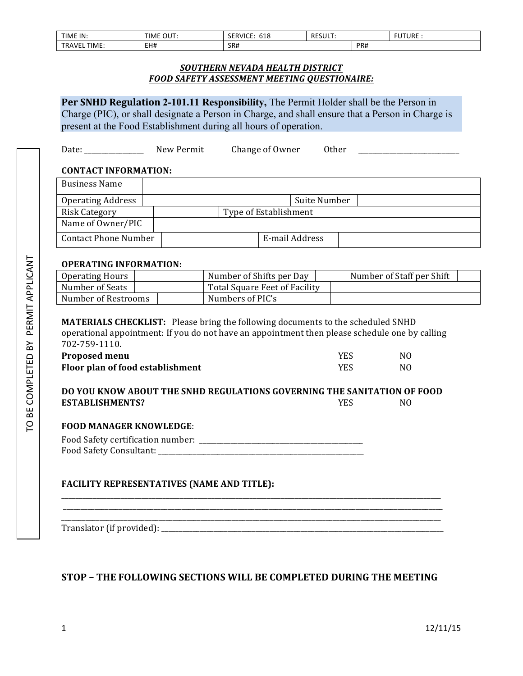| TIME IN:                  | OUT<br>TIME | $- -$<br>$\sim$ $\sim$<br>010 | <b>RFSI</b><br>.JULI. |     | <b>FUTURE</b> |
|---------------------------|-------------|-------------------------------|-----------------------|-----|---------------|
| <b>TIME</b><br>TR.<br>1VF | EH#         | SR#<br>___                    |                       | PR# |               |

### *SOUTHERN NEVADA HEALTH DISTRICT FOOD SAFETY ASSESSMENT MEETING QUESTIONAIRE:*

**Per SNHD Regulation 2-101.11 Responsibility, The Permit Holder shall be the Person in** Charge (PIC), or shall designate a Person in Charge, and shall ensure that a Person in Charge is present at the Food Establishment during all hours of operation.

Date: \_\_\_\_\_\_\_\_\_\_\_\_\_\_\_\_\_ New Permit Change of Owner Other \_\_\_\_\_\_\_\_\_\_\_\_\_\_\_\_\_\_\_\_\_\_\_

### **CONTACT INFORMATION:**

| <b>Business Name</b>        |                       |
|-----------------------------|-----------------------|
| <b>Operating Address</b>    | Suite Number          |
| <b>Risk Category</b>        | Type of Establishment |
| Name of Owner/PIC           |                       |
| <b>Contact Phone Number</b> | E-mail Address        |

### **OPERATING INFORMATION:**

| Operating Hours     | Number of Shifts per Day      | Number of Staff per Shift |
|---------------------|-------------------------------|---------------------------|
| Number of Seats     | Total Square Feet of Facility |                           |
| Number of Restrooms | Numbers of PIC's              |                           |

**MATERIALS CHECKLIST:** Please bring the following documents to the scheduled SNHD operational appointment: If you do not have an appointment then please schedule one by calling 702-759-1110.

| <b>Proposed menu</b>             | YES        | NΟ |
|----------------------------------|------------|----|
| Floor plan of food establishment | <b>YES</b> | NΟ |

#### **DO YOU KNOW ABOUT THE SNHD REGULATIONS GOVERNING THE SANITATION OF FOOD ESTABLISHMENTS?** NO

### **FOOD MANAGER KNOWLEDGE**:

| Food Safety certification number: |  |
|-----------------------------------|--|
| Food Safety Consultant:           |  |

## **FACILITY REPRESENTATIVES (NAME AND TITLE):**

Translator (if provided): \_\_\_\_\_\_\_\_\_\_\_\_\_\_\_\_\_\_\_\_\_\_\_\_\_\_\_\_\_\_\_\_\_\_\_\_\_\_\_\_\_\_\_\_\_\_\_\_\_\_\_\_\_\_\_\_\_\_\_\_\_\_\_\_\_\_\_\_\_\_\_\_\_\_\_\_\_\_\_\_\_

# **STOP – THE FOLLOWING SECTIONS WILL BE COMPLETED DURING THE MEETING**

**\_\_\_\_\_\_\_\_\_\_\_\_\_\_\_\_\_\_\_\_\_\_\_\_\_\_\_\_\_\_\_\_\_\_\_\_\_\_\_\_\_\_\_\_\_\_\_\_\_\_\_\_\_\_\_\_\_\_\_\_\_\_\_\_\_\_\_\_\_\_\_\_\_\_\_\_\_\_\_\_\_\_\_\_\_\_\_\_\_\_\_\_\_\_\_\_\_\_\_\_\_\_\_\_\_\_\_\_\_**

\_\_\_\_\_\_\_\_\_\_\_\_\_\_\_\_\_\_\_\_\_\_\_\_\_\_\_\_\_\_\_\_\_\_\_\_\_\_\_\_\_\_\_\_\_\_\_\_\_\_\_\_\_\_\_\_\_\_\_\_\_\_\_\_\_\_\_\_\_\_\_\_\_\_\_\_\_\_\_\_\_\_\_\_\_\_\_\_\_\_\_\_\_\_\_\_\_\_\_\_\_\_\_\_\_\_\_\_\_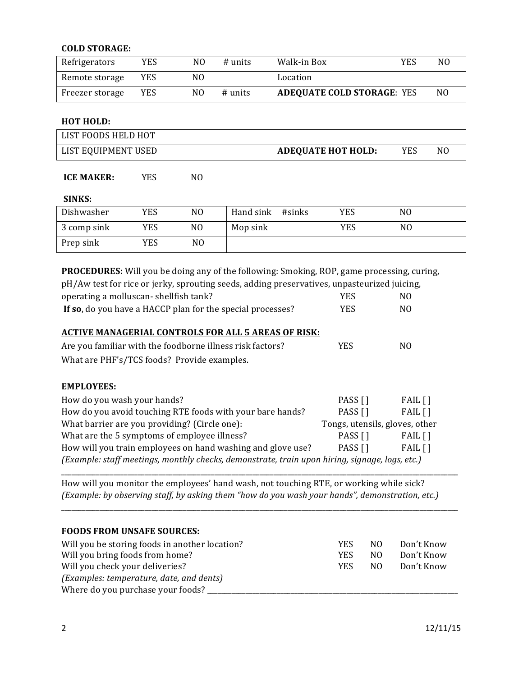### **COLD STORAGE:**

| Refrigerators   | YES        | NΟ | # units | Walk-in Box                       | YES | N <sub>0</sub> |
|-----------------|------------|----|---------|-----------------------------------|-----|----------------|
| Remote storage  | <b>YES</b> | NO |         | Location                          |     |                |
| Freezer storage | YES        | NO | # units | <b>ADEQUATE COLD STORAGE: YES</b> |     | N <sub>0</sub> |

#### **HOT HOLD:**

| LIST FOODS HELD HOT |                           |     |     |
|---------------------|---------------------------|-----|-----|
| LIST EQUIPMENT USED | <b>ADEQUATE HOT HOLD:</b> | YES | NC. |

## **ICE MAKER:** *YES* NO

#### **SINKS:**

| Dishwasher  | YES | NO. | Hand sink #sinks | YES | N0 |
|-------------|-----|-----|------------------|-----|----|
| 3 comp sink | YES | NO  | Mop sink         | YES | NO |
| Prep sink   | YES | N0  |                  |     |    |

**PROCEDURES:** Will you be doing any of the following: Smoking, ROP, game processing, curing, pH/Aw test for rice or jerky, sprouting seeds, adding preservatives, unpasteurized juicing, operating a molluscan- shellfish tank? The MO VES MO **If so**, do you have a HACCP plan for the special processes? YES MO **ACTIVE MANAGERIAL CONTROLS FOR ALL 5 AREAS OF RISK:** Are you familiar with the foodborne illness risk factors? YES MO What are PHF's/TCS foods? Provide examples. **EMPLOYEES:** How do you wash your hands? The contract of the contract of the PASS  $[ ]$  FAIL  $[ ]$ How do you avoid touching RTE foods with your bare hands?  $\begin{bmatrix} PASS \\ PAS \end{bmatrix}$  FAIL [] What barrier are you providing? (Circle one): Tongs, utensils, gloves, other What are the 5 symptoms of employee illness?  $\angle$  PASS  $\begin{bmatrix} 1 \\ 1 \end{bmatrix}$  FAIL  $\begin{bmatrix} 1 \\ 1 \end{bmatrix}$ How will you train employees on hand washing and glove use? PASS  $[ ]$  FAIL  $[ ]$ 

*(Example: staff meetings, monthly checks, demonstrate, train upon hiring, signage, logs, etc.)*

How will you monitor the employees' hand wash, not touching RTE, or working while sick? *(Example: by observing staff, by asking them "how do you wash your hands", demonstration, etc.)*

\_\_\_\_\_\_\_\_\_\_\_\_\_\_\_\_\_\_\_\_\_\_\_\_\_\_\_\_\_\_\_\_\_\_\_\_\_\_\_\_\_\_\_\_\_\_\_\_\_\_\_\_\_\_\_\_\_\_\_\_\_\_\_\_\_\_\_\_\_\_\_\_\_\_\_\_\_\_\_\_\_\_\_\_\_\_\_\_\_\_\_\_\_\_\_\_\_\_\_\_\_\_\_\_\_\_\_\_\_\_\_\_\_\_

\_\_\_\_\_\_\_\_\_\_\_\_\_\_\_\_\_\_\_\_\_\_\_\_\_\_\_\_\_\_\_\_\_\_\_\_\_\_\_\_\_\_\_\_\_\_\_\_\_\_\_\_\_\_\_\_\_\_\_\_\_\_\_\_\_\_\_\_\_\_\_\_\_\_\_\_\_\_\_\_\_\_\_\_\_\_\_\_\_\_\_\_\_\_\_\_\_\_\_\_\_\_\_\_\_\_\_\_\_\_\_\_\_\_

| <b>FOODS FROM UNSAFE SOURCES:</b>              |            |                |            |
|------------------------------------------------|------------|----------------|------------|
| Will you be storing foods in another location? | <b>YES</b> | N <sub>O</sub> | Don't Know |
| Will you bring foods from home?                | <b>YES</b> | N <sub>0</sub> | Don't Know |
| Will you check your deliveries?                | <b>YES</b> | N <sub>0</sub> | Don't Know |
| (Examples: temperature, date, and dents)       |            |                |            |
| Where do you purchase your foods?              |            |                |            |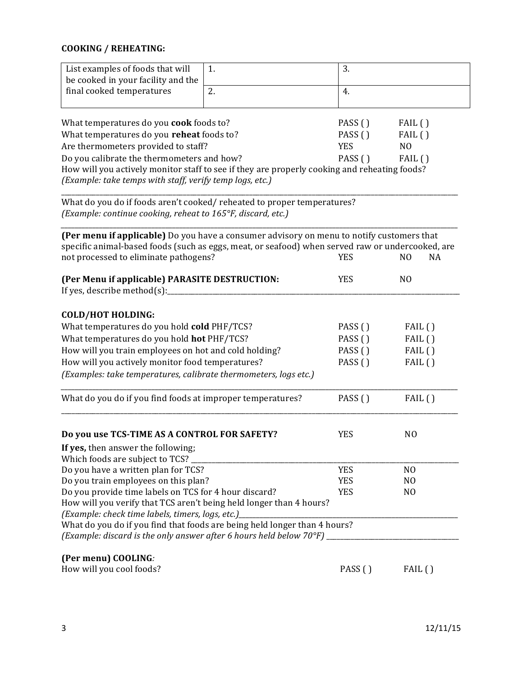# **COOKING / REHEATING:**

| List examples of foods that will                                                                                                                                  | 1.      | 3.                |                      |  |  |
|-------------------------------------------------------------------------------------------------------------------------------------------------------------------|---------|-------------------|----------------------|--|--|
| be cooked in your facility and the                                                                                                                                |         |                   |                      |  |  |
| final cooked temperatures                                                                                                                                         | 2.      | 4.                |                      |  |  |
| What temperatures do you cook foods to?                                                                                                                           |         | PASS ()           | FAIL()               |  |  |
| What temperatures do you reheat foods to?                                                                                                                         |         | PASS ()<br>FAIL() |                      |  |  |
| Are thermometers provided to staff?                                                                                                                               |         | <b>YES</b>        | N <sub>O</sub>       |  |  |
| Do you calibrate the thermometers and how?                                                                                                                        |         | PASS()            | FAIL()               |  |  |
| How will you actively monitor staff to see if they are properly cooking and reheating foods?<br>(Example: take temps with staff, verify temp logs, etc.)          |         |                   |                      |  |  |
| What do you do if foods aren't cooked/ reheated to proper temperatures?<br>(Example: continue cooking, reheat to 165°F, discard, etc.)                            |         |                   |                      |  |  |
| (Per menu if applicable) Do you have a consumer advisory on menu to notify customers that                                                                         |         |                   |                      |  |  |
| specific animal-based foods (such as eggs, meat, or seafood) when served raw or undercooked, are<br>not processed to eliminate pathogens?                         |         | <b>YES</b>        | N <sub>O</sub><br>NA |  |  |
| (Per Menu if applicable) PARASITE DESTRUCTION:<br>If yes, describe method(s):_                                                                                    |         | <b>YES</b>        | N <sub>O</sub>       |  |  |
| <b>COLD/HOT HOLDING:</b>                                                                                                                                          |         |                   |                      |  |  |
| What temperatures do you hold cold PHF/TCS?                                                                                                                       |         | PASS ()           | FAIL()               |  |  |
| What temperatures do you hold hot PHF/TCS?                                                                                                                        |         | PASS ()           | FAIL()               |  |  |
| How will you train employees on hot and cold holding?                                                                                                             |         | PASS ()           | FAIL()               |  |  |
| How will you actively monitor food temperatures?                                                                                                                  |         | PASS ()           | FAIL()               |  |  |
| (Examples: take temperatures, calibrate thermometers, logs etc.)                                                                                                  |         |                   |                      |  |  |
| What do you do if you find foods at improper temperatures?                                                                                                        |         | PASS ()           | FAIL()               |  |  |
| Do you use TCS-TIME AS A CONTROL FOR SAFETY?                                                                                                                      |         | <b>YES</b>        | N <sub>O</sub>       |  |  |
| If yes, then answer the following;                                                                                                                                |         |                   |                      |  |  |
| Which foods are subject to TCS?                                                                                                                                   |         |                   |                      |  |  |
| Do you have a written plan for TCS?                                                                                                                               |         | <b>YES</b>        | N <sub>O</sub>       |  |  |
| Do you train employees on this plan?                                                                                                                              |         | <b>YES</b>        | N <sub>O</sub>       |  |  |
| Do you provide time labels on TCS for 4 hour discard?                                                                                                             |         | <b>YES</b>        | N <sub>O</sub>       |  |  |
| How will you verify that TCS aren't being held longer than 4 hours?                                                                                               |         |                   |                      |  |  |
| (Example: check time labels, timers, logs, etc.)_                                                                                                                 |         |                   |                      |  |  |
| What do you do if you find that foods are being held longer than 4 hours?<br>(Example: discard is the only answer after 6 hours held below $70^{\circ}$ F) $_{-}$ |         |                   |                      |  |  |
| (Per menu) COOLING:                                                                                                                                               |         |                   |                      |  |  |
| How will you cool foods?                                                                                                                                          | PASS () | FAIL()            |                      |  |  |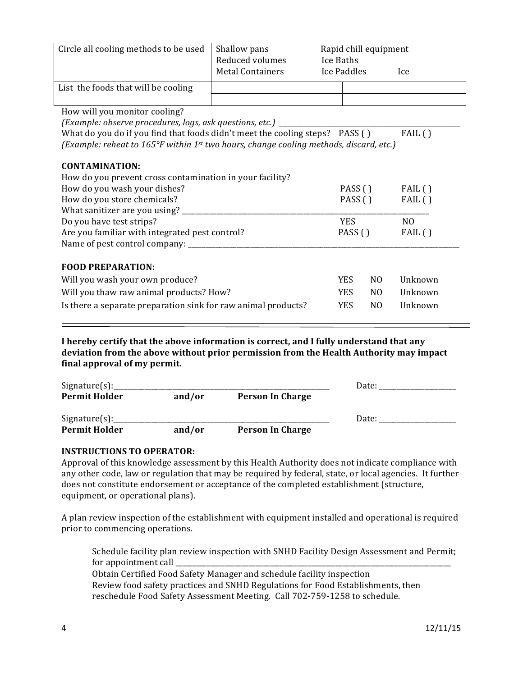| Circle all cooling methods to be used                                                                        | Shallow pans<br>Reduced volumes<br><b>Metal Containers</b> | Rapid chill equipment<br>Ice Baths<br>Ice Paddles |                | <b>Ice</b>     |
|--------------------------------------------------------------------------------------------------------------|------------------------------------------------------------|---------------------------------------------------|----------------|----------------|
| List the foods that will be cooling                                                                          |                                                            |                                                   |                |                |
|                                                                                                              |                                                            |                                                   |                |                |
| How will you monitor cooling?                                                                                |                                                            |                                                   |                |                |
| (Example: observe procedures, logs, ask questions, etc.) _                                                   |                                                            |                                                   |                |                |
| What do you do if you find that foods didn't meet the cooling steps? PASS ()                                 |                                                            |                                                   |                | FAIL()         |
| (Example: reheat to 165 $\degree$ F within 1 <sup>st</sup> two hours, change cooling methods, discard, etc.) |                                                            |                                                   |                |                |
|                                                                                                              |                                                            |                                                   |                |                |
| <b>CONTAMINATION:</b>                                                                                        |                                                            |                                                   |                |                |
| How do you prevent cross contamination in your facility?<br>How do you wash your dishes?                     |                                                            | PASS ()                                           |                | FAIL()         |
| How do you store chemicals?                                                                                  |                                                            | PASS ()                                           |                | FAIL()         |
| What sanitizer are you using? ________                                                                       |                                                            |                                                   |                |                |
| Do you have test strips?                                                                                     |                                                            | <b>YES</b>                                        |                | N <sub>O</sub> |
| Are you familiar with integrated pest control?                                                               |                                                            | PASS $( )$                                        |                | FAIL()         |
|                                                                                                              |                                                            |                                                   |                |                |
|                                                                                                              |                                                            |                                                   |                |                |
| <b>FOOD PREPARATION:</b>                                                                                     |                                                            |                                                   |                |                |
| Will you wash your own produce?                                                                              |                                                            | <b>YES</b>                                        | N <sub>0</sub> | Unknown        |
| Will you thaw raw animal products? How?                                                                      |                                                            | <b>YES</b>                                        | N <sub>O</sub> | Unknown        |
| Is there a separate preparation sink for raw animal products?                                                |                                                            | <b>YES</b>                                        | N <sub>0</sub> | Unknown        |
|                                                                                                              |                                                            |                                                   |                |                |

**I** hereby certify that the above information is correct, and I fully understand that any deviation from the above without prior permission from the Health Authority may impact final approval of my permit.

| Signature(s):        |        |                         | Date: |
|----------------------|--------|-------------------------|-------|
| <b>Permit Holder</b> | and/or | <b>Person In Charge</b> |       |
| Sigmaer(s):          |        |                         | Date: |
| <b>Permit Holder</b> | and/or | <b>Person In Charge</b> |       |

### **INSTRUCTIONS TO OPERATOR:**

Approval of this knowledge assessment by this Health Authority does not indicate compliance with any other code, law or regulation that may be required by federal, state, or local agencies. It further does not constitute endorsement or acceptance of the completed establishment (structure, equipment, or operational plans).

A plan review inspection of the establishment with equipment installed and operational is required prior to commencing operations.

Schedule facility plan review inspection with SNHD Facility Design Assessment and Permit; for appointment call \_ Obtain Certified Food Safety Manager and schedule facility inspection

Review food safety practices and SNHD Regulations for Food Establishments, then reschedule Food Safety Assessment Meeting. Call 702-759-1258 to schedule.